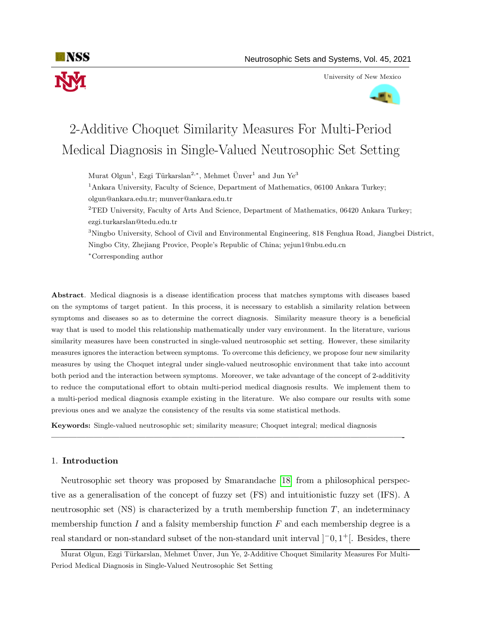

University of New Mexico



# 2-Additive Choquet Similarity Measures For Multi-Period Medical Diagnosis in Single-Valued Neutrosophic Set Setting

Murat Olgun<sup>1</sup>, Ezgi Türkarslan<sup>2,\*</sup>, Mehmet Ünver<sup>1</sup> and Jun Ye<sup>3</sup>

<sup>1</sup>Ankara University, Faculty of Science, Department of Mathematics, 06100 Ankara Turkey;

olgun@ankara.edu.tr; munver@ankara.edu.tr

<sup>2</sup>TED University, Faculty of Arts And Science, Department of Mathematics, 06420 Ankara Turkey; ezgi.turkarslan@tedu.edu.tr

<sup>3</sup>Ningbo University, School of Civil and Environmental Engineering, 818 Fenghua Road, Jiangbei District, Ningbo City, Zhejiang Provice, People's Republic of China; yejun1@nbu.edu.cn <sup>∗</sup>Corresponding author

Abstract. Medical diagnosis is a disease identification process that matches symptoms with diseases based on the symptoms of target patient. In this process, it is necessary to establish a similarity relation between symptoms and diseases so as to determine the correct diagnosis. Similarity measure theory is a beneficial way that is used to model this relationship mathematically under vary environment. In the literature, various similarity measures have been constructed in single-valued neutrosophic set setting. However, these similarity measures ignores the interaction between symptoms. To overcome this deficiency, we propose four new similarity measures by using the Choquet integral under single-valued neutrosophic environment that take into account both period and the interaction between symptoms. Moreover, we take advantage of the concept of 2-additivity to reduce the computational effort to obtain multi-period medical diagnosis results. We implement them to a multi-period medical diagnosis example existing in the literature. We also compare our results with some previous ones and we analyze the consistency of the results via some statistical methods.

Keywords: Single-valued neutrosophic set; similarity measure; Choquet integral; medical diagnosis

—————————————————————————————————————————-

## 1. Introduction

Neutrosophic set theory was proposed by Smarandache [\[18\]](#page-17-0) from a philosophical perspective as a generalisation of the concept of fuzzy set (FS) and intuitionistic fuzzy set (IFS). A neutrosophic set  $(NS)$  is characterized by a truth membership function  $T$ , an indeterminacy membership function  $I$  and a falsity membership function  $F$  and each membership degree is a real standard or non-standard subset of the non-standard unit interval  $]$ <sup>-</sup>0, 1<sup>+</sup>[. Besides, there

Murat Olgun, Ezgi Türkarslan, Mehmet Ünver, Jun Ye, 2-Additive Choquet Similarity Measures For Multi-Period Medical Diagnosis in Single-Valued Neutrosophic Set Setting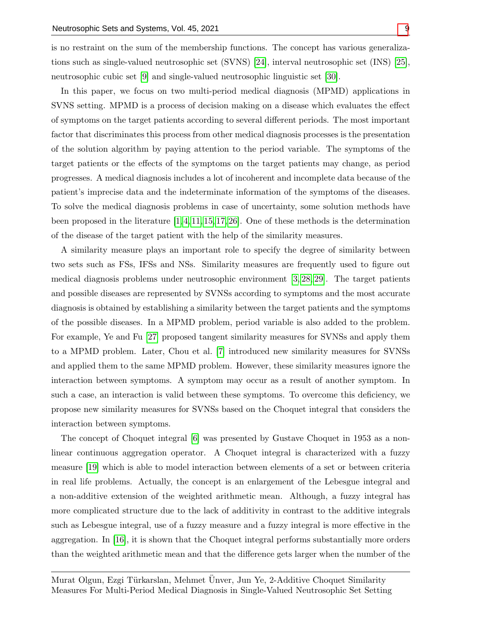is no restraint on the sum of the membership functions. The concept has various generalizations such as single-valued neutrosophic set (SVNS) [\[24\]](#page-17-2), interval neutrosophic set (INS) [\[25\]](#page-17-3), neutrosophic cubic set [\[9\]](#page-16-0) and single-valued neutrosophic linguistic set [\[30\]](#page-17-4).

In this paper, we focus on two multi-period medical diagnosis (MPMD) applications in SVNS setting. MPMD is a process of decision making on a disease which evaluates the effect of symptoms on the target patients according to several different periods. The most important factor that discriminates this process from other medical diagnosis processes is the presentation of the solution algorithm by paying attention to the period variable. The symptoms of the target patients or the effects of the symptoms on the target patients may change, as period progresses. A medical diagnosis includes a lot of incoherent and incomplete data because of the patient's imprecise data and the indeterminate information of the symptoms of the diseases. To solve the medical diagnosis problems in case of uncertainty, some solution methods have been proposed in the literature  $[1, 4, 11, 15, 17, 26]$  $[1, 4, 11, 15, 17, 26]$  $[1, 4, 11, 15, 17, 26]$  $[1, 4, 11, 15, 17, 26]$  $[1, 4, 11, 15, 17, 26]$  $[1, 4, 11, 15, 17, 26]$ . One of these methods is the determination of the disease of the target patient with the help of the similarity measures.

A similarity measure plays an important role to specify the degree of similarity between two sets such as FSs, IFSs and NSs. Similarity measures are frequently used to figure out medical diagnosis problems under neutrosophic environment [\[3,](#page-16-5) [28,](#page-17-7) [29\]](#page-17-8). The target patients and possible diseases are represented by SVNSs according to symptoms and the most accurate diagnosis is obtained by establishing a similarity between the target patients and the symptoms of the possible diseases. In a MPMD problem, period variable is also added to the problem. For example, Ye and Fu [\[27\]](#page-17-9) proposed tangent similarity measures for SVNSs and apply them to a MPMD problem. Later, Chou et al. [\[7\]](#page-16-6) introduced new similarity measures for SVNSs and applied them to the same MPMD problem. However, these similarity measures ignore the interaction between symptoms. A symptom may occur as a result of another symptom. In such a case, an interaction is valid between these symptoms. To overcome this deficiency, we propose new similarity measures for SVNSs based on the Choquet integral that considers the interaction between symptoms.

The concept of Choquet integral [\[6\]](#page-16-7) was presented by Gustave Choquet in 1953 as a nonlinear continuous aggregation operator. A Choquet integral is characterized with a fuzzy measure [\[19\]](#page-17-10) which is able to model interaction between elements of a set or between criteria in real life problems. Actually, the concept is an enlargement of the Lebesgue integral and a non-additive extension of the weighted arithmetic mean. Although, a fuzzy integral has more complicated structure due to the lack of additivity in contrast to the additive integrals such as Lebesgue integral, use of a fuzzy measure and a fuzzy integral is more effective in the aggregation. In [\[16\]](#page-16-8), it is shown that the Choquet integral performs substantially more orders than the weighted arithmetic mean and that the difference gets larger when the number of the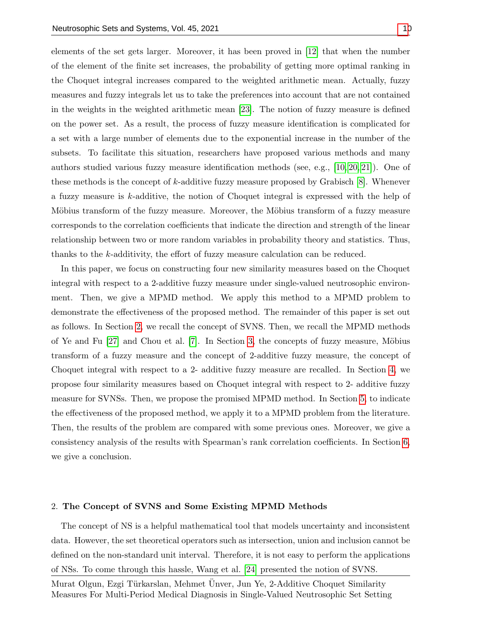elements of the set gets larger. Moreover, it has been proved in [\[12\]](#page-16-9) that when the number of the element of the finite set increases, the probability of getting more optimal ranking in the Choquet integral increases compared to the weighted arithmetic mean. Actually, fuzzy measures and fuzzy integrals let us to take the preferences into account that are not contained in the weights in the weighted arithmetic mean [\[23\]](#page-17-11). The notion of fuzzy measure is defined on the power set. As a result, the process of fuzzy measure identification is complicated for a set with a large number of elements due to the exponential increase in the number of the subsets. To facilitate this situation, researchers have proposed various methods and many authors studied various fuzzy measure identification methods (see, e.g., [\[10,](#page-16-10) [20,](#page-17-12) [21\]](#page-17-13)). One of these methods is the concept of k-additive fuzzy measure proposed by Grabisch [\[8\]](#page-16-11). Whenever a fuzzy measure is k-additive, the notion of Choquet integral is expressed with the help of Möbius transform of the fuzzy measure. Moreover, the Möbius transform of a fuzzy measure corresponds to the correlation coefficients that indicate the direction and strength of the linear relationship between two or more random variables in probability theory and statistics. Thus, thanks to the k-additivity, the effort of fuzzy measure calculation can be reduced.

In this paper, we focus on constructing four new similarity measures based on the Choquet integral with respect to a 2-additive fuzzy measure under single-valued neutrosophic environment. Then, we give a MPMD method. We apply this method to a MPMD problem to demonstrate the effectiveness of the proposed method. The remainder of this paper is set out as follows. In Section [2,](#page-2-0) we recall the concept of SVNS. Then, we recall the MPMD methods of Ye and Fu  $[27]$  and Chou et al.  $[7]$ . In Section [3,](#page-4-0) the concepts of fuzzy measure, Möbius transform of a fuzzy measure and the concept of 2-additive fuzzy measure, the concept of Choquet integral with respect to a 2- additive fuzzy measure are recalled. In Section [4,](#page-6-0) we propose four similarity measures based on Choquet integral with respect to 2- additive fuzzy measure for SVNSs. Then, we propose the promised MPMD method. In Section [5,](#page-10-0) to indicate the effectiveness of the proposed method, we apply it to a MPMD problem from the literature. Then, the results of the problem are compared with some previous ones. Moreover, we give a consistency analysis of the results with Spearman's rank correlation coefficients. In Section [6,](#page-15-0) we give a conclusion.

#### <span id="page-2-0"></span>2. The Concept of SVNS and Some Existing MPMD Methods

The concept of NS is a helpful mathematical tool that models uncertainty and inconsistent data. However, the set theoretical operators such as intersection, union and inclusion cannot be defined on the non-standard unit interval. Therefore, it is not easy to perform the applications of NSs. To come through this hassle, Wang et al. [\[24\]](#page-17-2) presented the notion of SVNS.

Murat Olgun, Ezgi Türkarslan, Mehmet Ünver, Jun Ye, 2-Additive Choquet Similarity Measures For Multi-Period Medical Diagnosis in Single-Valued Neutrosophic Set Setting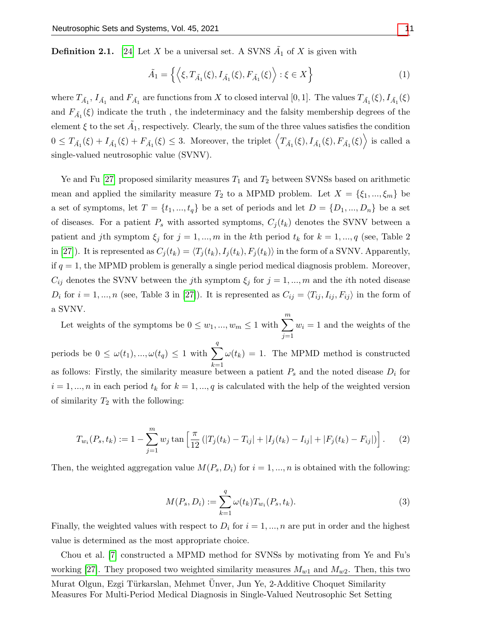**Definition 2.1.** [\[24\]](#page-17-2) Let X be a universal set. A SVNS  $\tilde{A}_1$  of X is given with

$$
\tilde{A}_1 = \left\{ \left\langle \xi, T_{\tilde{A}_1}(\xi), I_{\tilde{A}_1}(\xi), F_{\tilde{A}_1}(\xi) \right\rangle : \xi \in X \right\}
$$
\n<sup>(1)</sup>

where  $T_{\tilde{A}_1}$ ,  $I_{\tilde{A}_1}$  and  $F_{\tilde{A}_1}$  are functions from X to closed interval [0, 1]. The values  $T_{\tilde{A}_1}(\xi)$ ,  $I_{\tilde{A}_1}(\xi)$ and  $F_{\tilde{A_1}}(\xi)$  indicate the truth, the indeterminacy and the falsity membership degrees of the element  $\xi$  to the set  $\tilde{A}_1$ , respectively. Clearly, the sum of the three values satisfies the condition  $0 \leq T_{\tilde{A}_1}(\xi) + I_{\tilde{A}_1}(\xi) + F_{\tilde{A}_1}(\xi) \leq 3$ . Moreover, the triplet  $\left\langle T_{\tilde{A}_1}(\xi), I_{\tilde{A}_1}(\xi), F_{\tilde{A}_1}(\xi) \right\rangle$  is called a single-valued neutrosophic value (SVNV).

Ye and Fu [\[27\]](#page-17-9) proposed similarity measures  $T_1$  and  $T_2$  between SVNSs based on arithmetic mean and applied the similarity measure  $T_2$  to a MPMD problem. Let  $X = \{\xi_1, ..., \xi_m\}$  be a set of symptoms, let  $T = \{t_1, ..., t_q\}$  be a set of periods and let  $D = \{D_1, ..., D_n\}$  be a set of diseases. For a patient  $P_s$  with assorted symptoms,  $C_j(t_k)$  denotes the SVNV between a patient and jth symptom  $\xi_j$  for  $j = 1, ..., m$  in the kth period  $t_k$  for  $k = 1, ..., q$  (see, Table 2) in [\[27\]](#page-17-9)). It is represented as  $C_j(t_k) = \langle T_j(t_k), I_j(t_k), F_j(t_k)\rangle$  in the form of a SVNV. Apparently, if  $q = 1$ , the MPMD problem is generally a single period medical diagnosis problem. Moreover,  $C_{ij}$  denotes the SVNV between the jth symptom  $\xi_j$  for  $j = 1, ..., m$  and the *i*th noted disease  $D_i$  for  $i = 1, ..., n$  (see, Table 3 in [\[27\]](#page-17-9)). It is represented as  $C_{ij} = \langle T_{ij}, I_{ij}, F_{ij} \rangle$  in the form of a SVNV.

Let weights of the symptoms be  $0 \leq w_1, ..., w_m \leq 1$  with  $\sum_{n=1}^{m}$  $j=1$  $w_i = 1$  and the weights of the periods be  $0 \leq \omega(t_1), \ldots, \omega(t_q) \leq 1$  with  $\sum$ q  $k=1$  $\omega(t_k) = 1$ . The MPMD method is constructed as follows: Firstly, the similarity measure between a patient  $P_s$  and the noted disease  $D_i$  for  $i = 1, ..., n$  in each period  $t_k$  for  $k = 1, ..., q$  is calculated with the help of the weighted version of similarity  $T_2$  with the following:

$$
T_{w_i}(P_s, t_k) := 1 - \sum_{j=1}^m w_j \tan \left[ \frac{\pi}{12} \left( |T_j(t_k) - T_{ij}| + |I_j(t_k) - I_{ij}| + |F_j(t_k) - F_{ij}| \right) \right]. \tag{2}
$$

Then, the weighted aggregation value  $M(P_s, D_i)$  for  $i = 1, ..., n$  is obtained with the following:

$$
M(P_s, D_i) := \sum_{k=1}^{q} \omega(t_k) T_{w_i}(P_s, t_k).
$$
\n(3)

Finally, the weighted values with respect to  $D_i$  for  $i = 1, ..., n$  are put in order and the highest value is determined as the most appropriate choice.

Chou et al. [\[7\]](#page-16-6) constructed a MPMD method for SVNSs by motivating from Ye and Fu's working [\[27\]](#page-17-9). They proposed two weighted similarity measures  $M_{w1}$  and  $M_{w2}$ . Then, this two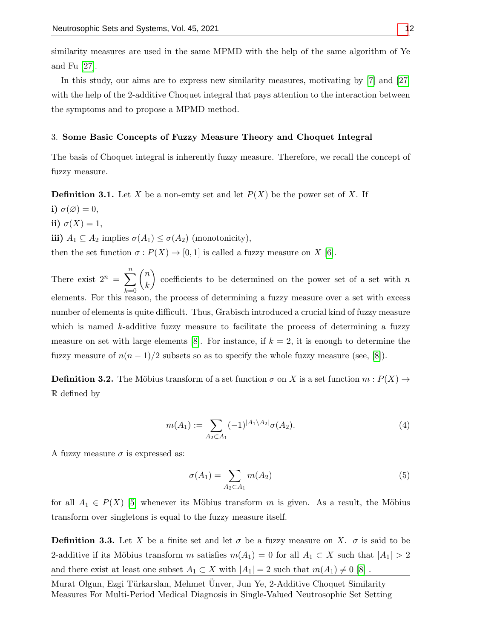similarity measures are used in the same MPMD with the help of the same algorithm of Ye and Fu [\[27\]](#page-17-9).

In this study, our aims are to express new similarity measures, motivating by [\[7\]](#page-16-6) and [\[27\]](#page-17-9) with the help of the 2-additive Choquet integral that pays attention to the interaction between the symptoms and to propose a MPMD method.

### <span id="page-4-0"></span>3. Some Basic Concepts of Fuzzy Measure Theory and Choquet Integral

The basis of Choquet integral is inherently fuzzy measure. Therefore, we recall the concept of fuzzy measure.

**Definition 3.1.** Let X be a non-emty set and let  $P(X)$  be the power set of X. If

- i)  $\sigma(\varnothing)=0,$
- ii)  $\sigma(X) = 1$ ,

iii)  $A_1 \subseteq A_2$  implies  $\sigma(A_1) \leq \sigma(A_2)$  (monotonicity),

then the set function  $\sigma: P(X) \to [0,1]$  is called a fuzzy measure on X [\[6\]](#page-16-7).

There exist  $2^n = \sum_{n=1}^{\infty}$  $_{k=0}$  $\sqrt{n}$ k coefficients to be determined on the power set of a set with  $n$ elements. For this reason, the process of determining a fuzzy measure over a set with excess number of elements is quite difficult. Thus, Grabisch introduced a crucial kind of fuzzy measure which is named  $k$ -additive fuzzy measure to facilitate the process of determining a fuzzy measure on set with large elements [\[8\]](#page-16-11). For instance, if  $k = 2$ , it is enough to determine the fuzzy measure of  $n(n-1)/2$  subsets so as to specify the whole fuzzy measure (see, [\[8\]](#page-16-11)).

**Definition 3.2.** The Möbius transform of a set function  $\sigma$  on X is a set function  $m : P(X) \to$ R defined by

$$
m(A_1) := \sum_{A_2 \subset A_1} (-1)^{|A_1 \setminus A_2|} \sigma(A_2). \tag{4}
$$

A fuzzy measure  $\sigma$  is expressed as:

$$
\sigma(A_1) = \sum_{A_2 \subset A_1} m(A_2) \tag{5}
$$

for all  $A_1 \in P(X)$  [\[5\]](#page-16-12) whenever its Möbius transform m is given. As a result, the Möbius transform over singletons is equal to the fuzzy measure itself.

**Definition 3.3.** Let X be a finite set and let  $\sigma$  be a fuzzy measure on X.  $\sigma$  is said to be 2-additive if its Möbius transform m satisfies  $m(A_1) = 0$  for all  $A_1 \subset X$  such that  $|A_1| > 2$ and there exist at least one subset  $A_1 \subset X$  with  $|A_1| = 2$  such that  $m(A_1) \neq 0$  [\[8\]](#page-16-11).

Murat Olgun, Ezgi Türkarslan, Mehmet Ünver, Jun Ye, 2-Additive Choquet Similarity Measures For Multi-Period Medical Diagnosis in Single-Valued Neutrosophic Set Setting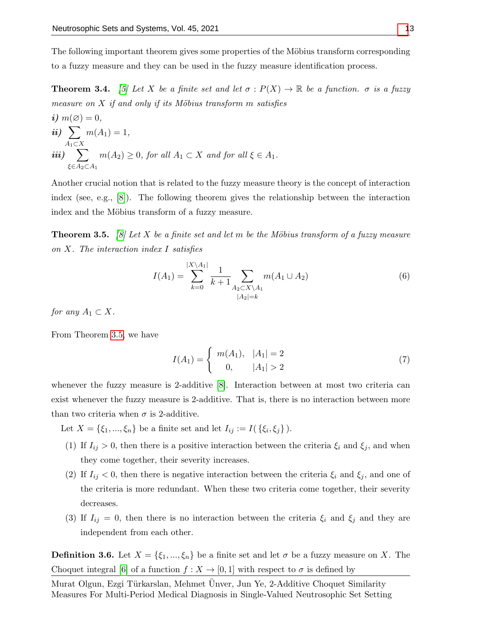The following important theorem gives some properties of the Möbius transform corresponding to a fuzzy measure and they can be used in the fuzzy measure identification process.

<span id="page-5-3"></span>**Theorem 3.4.** [\[5\]](#page-16-12) Let X be a finite set and let  $\sigma : P(X) \to \mathbb{R}$  be a function.  $\sigma$  is a fuzzy measure on  $X$  if and only if its Möbius transform m satisfies

*i)* 
$$
m(\emptyset) = 0
$$
,  
\n*ii)*  $\sum_{A_1 \subset X} m(A_1) = 1$ ,  
\n*iii)*  $\sum_{\xi \in A_2 \subset A_1} m(A_2) \ge 0$ , for all  $A_1 \subset X$  and for all  $\xi \in A_1$ .

Another crucial notion that is related to the fuzzy measure theory is the concept of interaction index (see, e.g., [\[8\]](#page-16-11)). The following theorem gives the relationship between the interaction index and the Möbius transform of a fuzzy measure.

<span id="page-5-0"></span>**Theorem 3.5.** [\[8\]](#page-16-11) Let X be a finite set and let m be the Möbius transform of a fuzzy measure on X. The interaction index I satisfies

$$
I(A_1) = \sum_{k=0}^{|X \setminus A_1|} \frac{1}{k+1} \sum_{\substack{A_2 \subset X \setminus A_1 \\ |A_2| = k}} m(A_1 \cup A_2)
$$
 (6)

for any  $A_1 \subset X$ .

From Theorem [3.5,](#page-5-0) we have

<span id="page-5-2"></span>
$$
I(A_1) = \begin{cases} m(A_1), & |A_1| = 2\\ 0, & |A_1| > 2 \end{cases}
$$
 (7)

whenever the fuzzy measure is 2-additive [\[8\]](#page-16-11). Interaction between at most two criteria can exist whenever the fuzzy measure is 2-additive. That is, there is no interaction between more than two criteria when  $\sigma$  is 2-additive.

Let  $X = \{\xi_1, ..., \xi_n\}$  be a finite set and let  $I_{ij} := I(\{\xi_i, \xi_j\})$ .

- (1) If  $I_{ij} > 0$ , then there is a positive interaction between the criteria  $\xi_i$  and  $\xi_j$ , and when they come together, their severity increases.
- (2) If  $I_{ij} < 0$ , then there is negative interaction between the criteria  $\xi_i$  and  $\xi_j$ , and one of the criteria is more redundant. When these two criteria come together, their severity decreases.
- (3) If  $I_{ij} = 0$ , then there is no interaction between the criteria  $\xi_i$  and  $\xi_j$  and they are independent from each other.

<span id="page-5-1"></span>**Definition 3.6.** Let  $X = \{\xi_1, ..., \xi_n\}$  be a finite set and let  $\sigma$  be a fuzzy measure on X. The Choquet integral [\[6\]](#page-16-7) of a function  $f : X \to [0,1]$  with respect to  $\sigma$  is defined by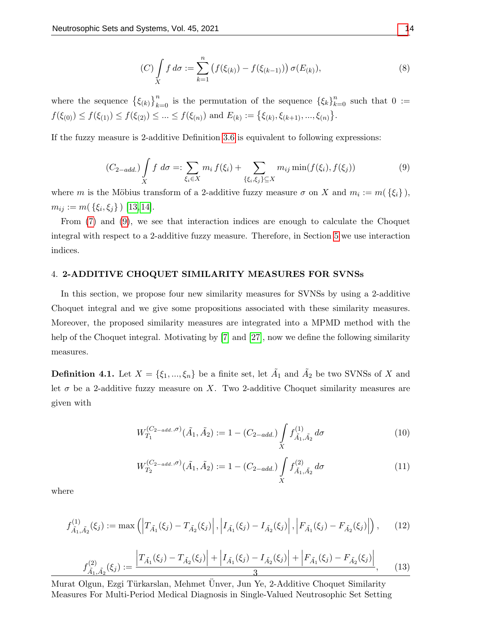$$
(C)\int\limits_X f\,d\sigma := \sum_{k=1}^n \left(f(\xi_{(k)}) - f(\xi_{(k-1)})\right)\sigma(E_{(k)}),\tag{8}
$$

where the sequence  $\{\xi_{(k)}\}_{k=0}^n$  is the permutation of the sequence  $\{\xi_k\}_{k=0}^n$  such that  $0 :=$  $f(\xi_{(0)}) \leq f(\xi_{(1)}) \leq f(\xi_{(2)}) \leq \ldots \leq f(\xi_{(n)})$  and  $E_{(k)} := \{\xi_{(k)}, \xi_{(k+1)}, \ldots, \xi_{(n)}\}.$ 

If the fuzzy measure is 2-additive Definition [3.6](#page-5-1) is equivalent to following expressions:

<span id="page-6-1"></span>
$$
(C_{2-add.}) \int\limits_X f \, d\sigma =: \sum_{\xi_i \in X} m_i \, f(\xi_i) + \sum_{\{\xi_i, \xi_j\} \subseteq X} m_{ij} \min(f(\xi_i), f(\xi_j)) \tag{9}
$$

where m is the Möbius transform of a 2-additive fuzzy measure  $\sigma$  on X and  $m_i := m(\{\xi_i\}),$  $m_{ij} := m(\{\xi_i, \xi_j\})$  [\[13,](#page-16-13) [14\]](#page-16-14).

From [\(7\)](#page-5-2) and [\(9\)](#page-6-1), we see that interaction indices are enough to calculate the Choquet integral with respect to a 2-additive fuzzy measure. Therefore, in Section [5](#page-10-0) we use interaction indices.

## <span id="page-6-0"></span>4. 2-ADDITIVE CHOQUET SIMILARITY MEASURES FOR SVNSs

In this section, we propose four new similarity measures for SVNSs by using a 2-additive Choquet integral and we give some propositions associated with these similarity measures. Moreover, the proposed similarity measures are integrated into a MPMD method with the help of the Choquet integral. Motivating by [\[7\]](#page-16-6) and [\[27\]](#page-17-9), now we define the following similarity measures.

<span id="page-6-2"></span>**Definition 4.1.** Let  $X = \{\xi_1, ..., \xi_n\}$  be a finite set, let  $\tilde{A}_1$  and  $\tilde{A}_2$  be two SVNSs of X and let  $\sigma$  be a 2-additive fuzzy measure on X. Two 2-additive Choquet similarity measures are given with

$$
W_{T_1}^{(C_2 - add.,\sigma)}(\tilde{A}_1, \tilde{A}_2) := 1 - (C_{2-add.}) \int\limits_X f_{\tilde{A}_1, \tilde{A}_2}^{(1)} d\sigma \tag{10}
$$

$$
W_{T_2}^{(C_{2-add.},\sigma)}(\tilde{A}_1, \tilde{A}_2) := 1 - (C_{2-add.}) \int\limits_X f_{\tilde{A}_1, \tilde{A}_2}^{(2)} d\sigma \tag{11}
$$

where

$$
f_{\tilde{A}_1, \tilde{A}_2}^{(1)}(\xi_j) := \max \left( \left| T_{\tilde{A}_1}(\xi_j) - T_{\tilde{A}_2}(\xi_j) \right|, \left| I_{\tilde{A}_1}(\xi_j) - I_{\tilde{A}_2}(\xi_j) \right|, \left| F_{\tilde{A}_1}(\xi_j) - F_{\tilde{A}_2}(\xi_j) \right| \right), \quad (12)
$$

$$
f_{\tilde{A}_1,\tilde{A}_2}^{(2)}(\xi_j) := \frac{\left|T_{\tilde{A}_1}(\xi_j) - T_{\tilde{A}_2}(\xi_j)\right| + \left|I_{\tilde{A}_1}(\xi_j) - I_{\tilde{A}_2}(\xi_j)\right| + \left|F_{\tilde{A}_1}(\xi_j) - F_{\tilde{A}_2}(\xi_j)\right|}{3},\tag{13}
$$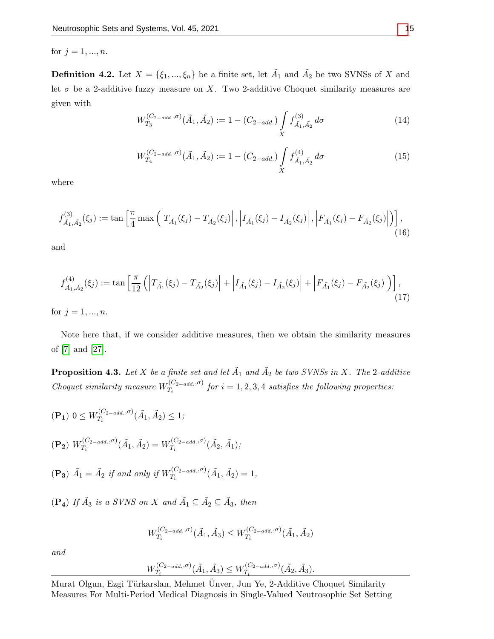for  $j = 1, ..., n$ .

<span id="page-7-1"></span>**Definition 4.2.** Let  $X = \{\xi_1, ..., \xi_n\}$  be a finite set, let  $\tilde{A}_1$  and  $\tilde{A}_2$  be two SVNSs of X and let  $\sigma$  be a 2-additive fuzzy measure on X. Two 2-additive Choquet similarity measures are given with

$$
W_{T_3}^{(C_2 - \nabla, \sigma)}(\tilde{A}_1, \tilde{A}_2) := 1 - (C_{2 - \nabla}) \int\limits_X f_{\tilde{A}_1, \tilde{A}_2}^{(3)} d\sigma \tag{14}
$$

$$
W_{T_4}^{(C_{2-add.}, \sigma)}(\tilde{A}_1, \tilde{A}_2) := 1 - (C_{2-add.}) \int\limits_X f_{\tilde{A}_1, \tilde{A}_2}^{(4)} d\sigma \tag{15}
$$

where

$$
f_{\tilde{A}_1,\tilde{A}_2}^{(3)}(\xi_j) := \tan\left[\frac{\pi}{4}\max\left(\left|T_{\tilde{A}_1}(\xi_j) - T_{\tilde{A}_2}(\xi_j)\right|, \left|I_{\tilde{A}_1}(\xi_j) - I_{\tilde{A}_2}(\xi_j)\right|, \left|F_{\tilde{A}_1}(\xi_j) - F_{\tilde{A}_2}(\xi_j)\right|\right)\right],
$$
\n(16)

and

$$
f_{\tilde{A}_1,\tilde{A}_2}^{(4)}(\xi_j) := \tan\left[\frac{\pi}{12}\left(\left|T_{\tilde{A}_1}(\xi_j) - T_{\tilde{A}_2}(\xi_j)\right| + \left|I_{\tilde{A}_1}(\xi_j) - I_{\tilde{A}_2}(\xi_j)\right| + \left|F_{\tilde{A}_1}(\xi_j) - F_{\tilde{A}_2}(\xi_j)\right|\right)\right],
$$
\n(17)

for  $j = 1, ..., n$ .

Note here that, if we consider additive measures, then we obtain the similarity measures of [\[7\]](#page-16-6) and [\[27\]](#page-17-9).

<span id="page-7-0"></span>**Proposition 4.3.** Let X be a finite set and let  $\tilde{A}_1$  and  $\tilde{A}_2$  be two SVNSs in X. The 2-additive Choquet similarity measure  $W_T^{(C_{2-add.},\sigma)}$  $T_i^{(C_2 = add, o)}$  for  $i = 1, 2, 3, 4$  satisfies the following properties:

$$
\begin{aligned} \n(\mathbf{P_1}) \ 0 &\le W_{T_i}^{(C_{2-add.},\sigma)}(\tilde{A}_1, \tilde{A}_2) \le 1; \\ \n(\mathbf{P_2}) \ W_{T_i}^{(C_{2-add.},\sigma)}(\tilde{A}_1, \tilde{A}_2) &= W_{T_i}^{(C_{2-add.},\sigma)}(\tilde{A}_2, \tilde{A}_1); \\ \n(\mathbf{P_3}) \ \tilde{A}_1 &= \tilde{A}_2 \ \text{if and only if} \ W_{T_i}^{(C_{2-add.},\sigma)}(\tilde{A}_1, \tilde{A}_2) = 1, \n\end{aligned}
$$

$$
(\mathbf{P_4}) \text{ If } \tilde{A_3} \text{ is a SVMS on } X \text{ and } \tilde{A_1} \subseteq \tilde{A_2} \subseteq \tilde{A_3}, \text{ then}
$$

$$
W_{T_i}^{(C_{2-add.}, \sigma)}(\tilde{A}_1, \tilde{A}_3) \leq W_{T_i}^{(C_{2-add.}, \sigma)}(\tilde{A}_1, \tilde{A}_2)
$$

and

$$
W_{T_i}^{(C_{2-add.}, \sigma)}(\tilde{A}_1, \tilde{A}_3) \leq W_{T_i}^{(C_{2-add.}, \sigma)}(\tilde{A}_2, \tilde{A}_3).
$$

Murat Olgun, Ezgi Türkarslan, Mehmet Ünver, Jun Ye, 2-Additive Choquet Similarity Measures For Multi-Period Medical Diagnosis in Single-Valued Neutrosophic Set Setting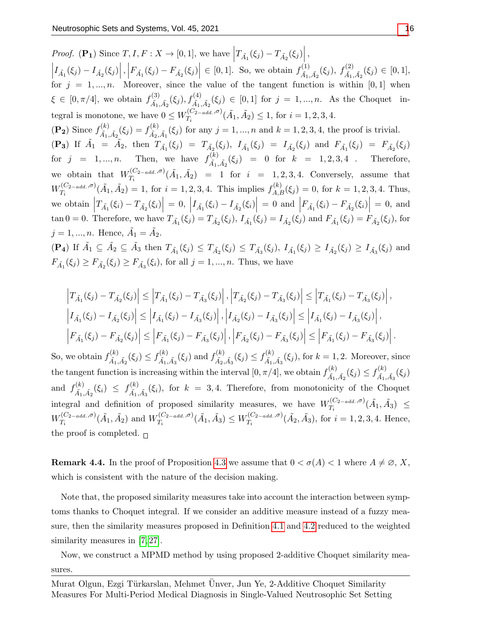*Proof.* (P<sub>1</sub>) Since  $T, I, F: X \to [0, 1]$ , we have  $\left|T_{\tilde{A_1}}(\xi_j) - T_{\tilde{A_2}}(\xi_j)\right|$ ,  $\left| I_{\tilde{A}_1}(\xi_j) - I_{\tilde{A}_2}(\xi_j) \right|, \left| F_{\tilde{A}_1}(\xi_j) - F_{\tilde{A}_2}(\xi_j) \right| \in [0,1].$  So, we obtain  $f_{\tilde{A}_1}^{(1)}$  $\stackrel{(1)}{\tilde{A}_{1},\tilde{A}_{2}}(\xi_{j}),\ f^{(2)}_{\tilde{A}_{1},\tilde{A}_{2}}$  $A_{\tilde{A}_1,\tilde{A}_2}^{(2)}(\xi_j) \in [0,1],$ for  $j = 1, ..., n$ . Moreover, since the value of the tangent function is within [0,1] when  $\xi \in [0, \pi/4],$  we obtain  $f_{\tilde{\lambda}}^{(3)}$  $A^{(3)}_{\tilde{A}_1,\tilde{A}_2}(\xi_j), f^{(4)}_{\tilde{A}_1,\tilde{A}_2}(\xi_j) \in [0,1]$  for  $j = 1,...,n$ . As the Choquet integral is monotone, we have  $0 \leq W_{T}^{(C_{2-add.}, \sigma)}$  $T_i^{(C_{2-add.}, \sigma)}(\tilde{A}_1, \tilde{A}_2) \leq 1$ , for  $i = 1, 2, 3, 4$ .  $(\mathbf{P_2})$  Since  $f_{\tilde{\Lambda}}^{(k)}$  $f^{(k)}_{\tilde{A_1},\tilde{A_2}}(\xi_j) = f^{(k)}_{\tilde{A_2},\tilde{A_2}}$  $A_{\tilde{A}_2,\tilde{A}_1}^{(k)}(\xi_j)$  for any  $j = 1, ..., n$  and  $k = 1, 2, 3, 4$ , the proof is trivial. (P<sub>3</sub>) If  $\tilde{A}_1 = \tilde{A}_2$ , then  $T_{\tilde{A}_1}(\xi_j) = T_{\tilde{A}_2}(\xi_j)$ ,  $I_{\tilde{A}_1}(\xi_j) = I_{\tilde{A}_2}(\xi_j)$  and  $F_{\tilde{A}_1}(\xi_j) = F_{\tilde{A}_2}(\xi_j)$ for  $j = 1, ..., n$ . Then, we have  $f_{\tilde{\lambda}}^{(k)}$  $A_{\tilde{A}_1,\tilde{A}_2}^{(k)}(\xi_j) = 0$  for  $k = 1, 2, 3, 4$ . Therefore, we obtain that  $W_{T_i}^{(C_{2-add.},\sigma)}$  $T_i^{(C_{2-add.}, \sigma)}(\tilde{A}_1, \tilde{A}_2) = 1$  for  $i = 1, 2, 3, 4$ . Conversely, assume that  $W^{(C_{2-add.},\sigma)}_{T_{i}}$  $T_i^{(C_{2-add.},\sigma)}(\tilde{A}_1,\tilde{A}_2)=1$ , for  $i=1,2,3,4$ . This implies  $f_{A,B}^{(k)}(\xi_j)=0$ , for  $k=1,2,3,4$ . Thus, we obtain  $\left|T_{\tilde{A_1}}(\xi_i) - T_{\tilde{A_2}}(\xi_i)\right| = 0, \left|I_{\tilde{A_1}}(\xi_i) - I_{\tilde{A_2}}(\xi_i)\right|$  $= 0$  and  $\left| F_{\tilde{A}_1}(\xi_i) - F_{\tilde{A}_2}(\xi_i) \right| = 0$ , and  $\tan 0 = 0$ . Therefore, we have  $T_{\tilde{A}_1}(\xi_j) = T_{\tilde{A}_2}(\xi_j)$ ,  $I_{\tilde{A}_1}(\xi_j) = I_{\tilde{A}_2}(\xi_j)$  and  $F_{\tilde{A}_1}(\xi_j) = F_{\tilde{A}_2}(\xi_j)$ , for  $j = 1, ..., n$ . Hence,  $\tilde{A}_1 = \tilde{A}_2$ .  $(\mathbf{P}_4)$  If  $\tilde{A}_1 \subseteq \tilde{A}_2 \subseteq \tilde{A}_3$  then  $T_{\tilde{A}_1}(\xi_j) \leq T_{\tilde{A}_2}(\xi_j) \leq T_{\tilde{A}_3}(\xi_j)$ ,  $I_{\tilde{A}_1}(\xi_j) \geq I_{\tilde{A}_2}(\xi_j) \geq I_{\tilde{A}_3}(\xi_j)$  and  $F_{\tilde{A_1}}(\xi_j) \ge F_{\tilde{A_2}}(\xi_j) \ge F_{\tilde{A_3}}(\xi_i)$ , for all  $j = 1, ..., n$ . Thus, we have

$$
\left|T_{\tilde{A}_{1}}(\xi_{j})-T_{\tilde{A}_{2}}(\xi_{j})\right| \leq \left|T_{\tilde{A}_{1}}(\xi_{j})-T_{\tilde{A}_{3}}(\xi_{j})\right|, \left|T_{\tilde{A}_{2}}(\xi_{j})-T_{\tilde{A}_{3}}(\xi_{j})\right| \leq \left|T_{\tilde{A}_{1}}(\xi_{j})-T_{\tilde{A}_{3}}(\xi_{j})\right|,
$$
  
\n
$$
\left|I_{\tilde{A}_{1}}(\xi_{j})-I_{\tilde{A}_{2}}(\xi_{j})\right| \leq \left|I_{\tilde{A}_{1}}(\xi_{j})-I_{\tilde{A}_{3}}(\xi_{j})\right|, \left|I_{\tilde{A}_{2}}(\xi_{j})-I_{\tilde{A}_{3}}(\xi_{j})\right| \leq \left|I_{\tilde{A}_{1}}(\xi_{j})-I_{\tilde{A}_{3}}(\xi_{j})\right|,
$$
  
\n
$$
\left|F_{\tilde{A}_{1}}(\xi_{j})-F_{\tilde{A}_{2}}(\xi_{j})\right| \leq \left|F_{\tilde{A}_{1}}(\xi_{j})-F_{\tilde{A}_{3}}(\xi_{j})\right|, \left|F_{\tilde{A}_{2}}(\xi_{j})-F_{\tilde{A}_{3}}(\xi_{j})\right| \leq \left|F_{\tilde{A}_{1}}(\xi_{j})-F_{\tilde{A}_{3}}(\xi_{j})\right|.
$$

So, we obtain  $f_{\tilde{\Lambda}}^{(k)}$  $f_{\tilde{A_1},\tilde{A_2}}^{(k)}(\xi_j) \leq f_{\tilde{A_1},\tilde{A_2}}^{(k)}$  $f_{\tilde{A_1},\tilde{A_3}}^{(k)}(\xi_j)$  and  $f_{\tilde{A_2},}^{(k)}$  $f_{\tilde{A_2}, \tilde{A_3}}^{(k)}(\xi_j) \leq f_{\tilde{A_1}, \tilde{A_2}}^{(k)}$  $\tilde{A}_{1,\tilde{A}_{3}}^{(k)}(\xi_{j}),$  for  $k=1,2$ . Moreover, since the tangent function is increasing within the interval  $[0, \pi/4]$ , we obtain  $f_{\tilde{\lambda}}^{(k)}$  $f_{\tilde{A_1},\tilde{A_2}}^{(k)}(\xi_j) \leq f_{\tilde{A_1},\tilde{A_2}}^{(k)}$  $\tilde{A}_1, \tilde{A}_3$  $(\xi_j)$ and  $f_{\tilde{i}}^{(k)}$  $f_{\tilde{A_1},\tilde{A_2}}^{(k)}(\xi_i) \leq f_{\tilde{A_1},\tilde{A_2}}^{(k)}$  $\tilde{A}_{1,\tilde{A}_3}(\xi_i)$ , for  $k = 3, 4$ . Therefore, from monotonicity of the Choquet integral and definition of proposed similarity measures, we have  $W_T^{(C_{2-add.},\sigma)}$  $T_i^{(C_{2-add.},\sigma)}(\tilde{A}_1,\tilde{A}_3) \ \leq$  $W^{(C_{2-add.},\sigma)}_{T}$  $W^{(C_{2-add.},\sigma)}_{T_i}(\tilde{A_1},\tilde{A_2})$  and  $W^{(C_{2-add.},\sigma)}_{T_i}$  $W^{(C_{2-add.},\sigma)}_{T_i}(\tilde{A}_1,\tilde{A_3})\leq W^{(C_{2-add.},\sigma)}_{T_i}$  $T_i^{(C_{2-add.}, \sigma)}(\tilde{A}_2, \tilde{A}_3)$ , for  $i = 1, 2, 3, 4$ . Hence, the proof is completed.  $\Box$ 

**Remark 4.4.** In the proof of Proposition [4.3](#page-7-0) we assume that  $0 < \sigma(A) < 1$  where  $A \neq \emptyset$ , X, which is consistent with the nature of the decision making.

Note that, the proposed similarity measures take into account the interaction between symptoms thanks to Choquet integral. If we consider an additive measure instead of a fuzzy measure, then the similarity measures proposed in Definition 4.[1](#page-6-2) and 4.[2](#page-7-1) reduced to the weighted similarity measures in [\[7,](#page-16-6) [27\]](#page-17-9).

Now, we construct a MPMD method by using proposed 2-additive Choquet similarity measures.

Murat Olgun, Ezgi Türkarslan, Mehmet Ünver, Jun Ye, 2-Additive Choquet Similarity Measures For Multi-Period Medical Diagnosis in Single-Valued Neutrosophic Set Setting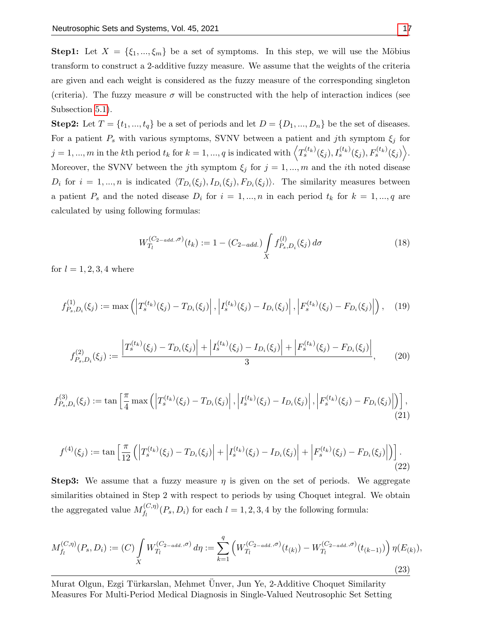**Step1:** Let  $X = \{\xi_1, ..., \xi_m\}$  be a set of symptoms. In this step, we will use the Möbius transform to construct a 2-additive fuzzy measure. We assume that the weights of the criteria are given and each weight is considered as the fuzzy measure of the corresponding singleton (criteria). The fuzzy measure  $\sigma$  will be constructed with the help of interaction indices (see Subsection [5.1\)](#page-10-1).

**Step2:** Let  $T = \{t_1, ..., t_q\}$  be a set of periods and let  $D = \{D_1, ..., D_n\}$  be the set of diseases. For a patient  $P_s$  with various symptoms, SVNV between a patient and jth symptom  $\xi_j$  for  $j = 1, ..., m$  in the kth period  $t_k$  for  $k = 1, ..., q$  is indicated with  $\left\langle T_s^{(t_k)}(\xi_j), I_s^{(t_k)}(\xi_j), F_s^{(t_k)}(\xi_j) \right\rangle$ . Moreover, the SVNV between the jth symptom  $\xi_j$  for  $j = 1, ..., m$  and the *i*th noted disease  $D_i$  for  $i = 1, ..., n$  is indicated  $\langle T_{D_i}(\xi_j), I_{D_i}(\xi_j), F_{D_i}(\xi_j) \rangle$ . The similarity measures between a patient  $P_s$  and the noted disease  $D_i$  for  $i = 1, ..., n$  in each period  $t_k$  for  $k = 1, ..., q$  are calculated by using following formulas:

$$
W_{T_l}^{(C_{2-add.}, \sigma)}(t_k) := 1 - (C_{2-add.}) \int\limits_X f_{P_s, D_i}^{(l)}(\xi_j) d\sigma \tag{18}
$$

for  $l = 1, 2, 3, 4$  where

$$
f_{P_s,D_i}^{(1)}(\xi_j) := \max\left( \left| T_s^{(t_k)}(\xi_j) - T_{D_i}(\xi_j) \right|, \left| I_s^{(t_k)}(\xi_j) - I_{D_i}(\xi_j) \right|, \left| F_s^{(t_k)}(\xi_j) - F_{D_i}(\xi_j) \right| \right), \quad (19)
$$

$$
f_{P_s,D_i}^{(2)}(\xi_j) := \frac{\left|T_s^{(t_k)}(\xi_j) - T_{D_i}(\xi_j)\right| + \left|I_s^{(t_k)}(\xi_j) - I_{D_i}(\xi_j)\right| + \left|F_s^{(t_k)}(\xi_j) - F_{D_i}(\xi_j)\right|}{3},\tag{20}
$$

$$
f_{P_s,D_i}^{(3)}(\xi_j) := \tan\left[\frac{\pi}{4}\max\left(\left|T_s^{(t_k)}(\xi_j) - T_{D_i}(\xi_j)\right|, \left|I_s^{(t_k)}(\xi_j) - I_{D_i}(\xi_j)\right|, \left|F_s^{(t_k)}(\xi_j) - F_{D_i}(\xi_j)\right|\right)\right],\tag{21}
$$

$$
f^{(4)}(\xi_j) := \tan\left[\frac{\pi}{12}\left(\left|T_s^{(t_k)}(\xi_j) - T_{D_i}(\xi_j)\right| + \left|I_s^{(t_k)}(\xi_j) - I_{D_i}(\xi_j)\right| + \left|F_s^{(t_k)}(\xi_j) - F_{D_i}(\xi_j)\right|\right)\right].
$$
\n(22)

**Step3:** We assume that a fuzzy measure  $\eta$  is given on the set of periods. We aggregate similarities obtained in Step 2 with respect to periods by using Choquet integral. We obtain the aggregated value  $M_f^{(C,\eta)}$  $f_l^{(C,\eta)}(P_s, D_i)$  for each  $l = 1, 2, 3, 4$  by the following formula:

$$
M_{f_l}^{(C,\eta)}(P_s, D_i) := (C) \int\limits_X W_{T_l}^{(C_{2-add.}, \sigma)} d\eta := \sum_{k=1}^q \left( W_{T_l}^{(C_{2-add.}, \sigma)}(t_{(k)}) - W_{T_l}^{(C_{2-add.}, \sigma)}(t_{(k-1)}) \right) \eta(E_{(k)}),
$$
\n(23)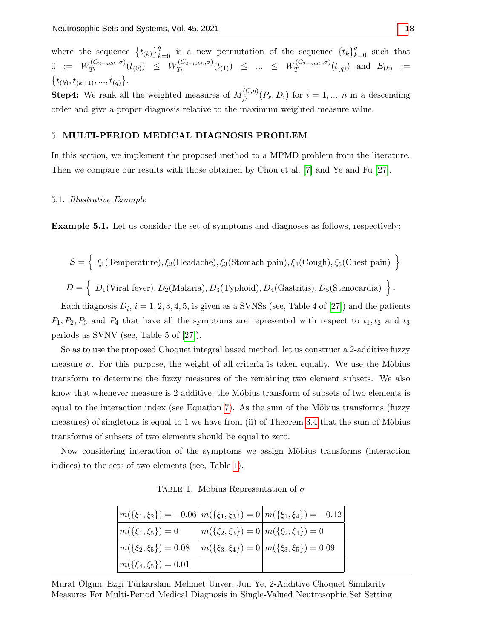where the sequence  $\{t_{(k)}\}_{k=0}^q$  is a new permutation of the sequence  $\{t_k\}_{k=0}^q$  such that  $0$  :=  $W_{T_i}^{(C_{2-add.}, \sigma)}$  $\int_{T_l}^{(C_{2-add.},\sigma)}(t_{(0)}) \leq W_{T_l}^{(C_{2-add.},\sigma)}$  $W_{T_l}^{(C_{2-add.},\sigma)}(t_{(1)}) \leq ... \leq W_{T_l}^{(C_{2-add.},\sigma)}$  $T_l^{(C_2 = add.}, \sigma)}(t_{(q)})$  and  $E_{(k)}$  :=  $\{t_{(k)}, t_{(k+1)}, ..., t_{(q)}\}.$ 

**Step4:** We rank all the weighted measures of  $M_f^{(C,\eta)}$  $f_i^{(C,\eta)}(P_s, D_i)$  for  $i = 1, ..., n$  in a descending order and give a proper diagnosis relative to the maximum weighted measure value.

#### <span id="page-10-0"></span>5. MULTI-PERIOD MEDICAL DIAGNOSIS PROBLEM

In this section, we implement the proposed method to a MPMD problem from the literature. Then we compare our results with those obtained by Chou et al. [\[7\]](#page-16-6) and Ye and Fu [\[27\]](#page-17-9).

#### <span id="page-10-1"></span>5.1. Illustrative Example

Example 5.1. Let us consider the set of symptoms and diagnoses as follows, respectively:

$$
S = \left\{ \begin{array}{l} \xi_1(\text{Temperature}), \xi_2(\text{Headache}), \xi_3(\text{Stomach pain}), \xi_4(\text{Cough}), \xi_5(\text{Chest pain}) \end{array} \right\}
$$
  

$$
D = \left\{ \begin{array}{l} D_1(\text{Viral fever}), D_2(\text{Malaria}), D_3(\text{Typloid}), D_4(\text{Gastritis}), D_5(\text{Stenocardia}) \end{array} \right\}.
$$

Each diagnosis  $D_i$ ,  $i = 1, 2, 3, 4, 5$ , is given as a SVNSs (see, Table 4 of [\[27\]](#page-17-9)) and the patients  $P_1, P_2, P_3$  and  $P_4$  that have all the symptoms are represented with respect to  $t_1, t_2$  and  $t_3$ periods as SVNV (see, Table 5 of [\[27\]](#page-17-9)).

So as to use the proposed Choquet integral based method, let us construct a 2-additive fuzzy measure  $\sigma$ . For this purpose, the weight of all criteria is taken equally. We use the Möbius transform to determine the fuzzy measures of the remaining two element subsets. We also know that whenever measure is 2-additive, the Möbius transform of subsets of two elements is equal to the interaction index (see Equation [7\)](#page-5-2). As the sum of the Möbius transforms (fuzzy measures) of singletons is equal to 1 we have from (ii) of Theorem [3.4](#page-5-3) that the sum of Möbius transforms of subsets of two elements should be equal to zero.

<span id="page-10-2"></span>Now considering interaction of the symptoms we assign Möbius transforms (interaction indices) to the sets of two elements (see, Table [1\)](#page-10-2).

| $m(\{\xi_1,\xi_2\}) = -0.06 \, m(\{\xi_1,\xi_3\}) = 0 \, m(\{\xi_1,\xi_4\}) = -0.12$ |                                              |                                                        |
|--------------------------------------------------------------------------------------|----------------------------------------------|--------------------------------------------------------|
| $m(\{\xi_1,\xi_5\})=0$                                                               | $m(\{\xi_2,\xi_3\})=0\,m(\{\xi_2,\xi_4\})=0$ |                                                        |
| $m(\{\xi_2,\xi_5\})=0.08$                                                            |                                              | $m(\{\xi_3,\xi_4\})=0 \,   \, m(\{\xi_3,\xi_5\})=0.09$ |
| $m(\{\xi_4,\xi_5\})=0.01$                                                            |                                              |                                                        |

TABLE 1. Möbius Representation of  $\sigma$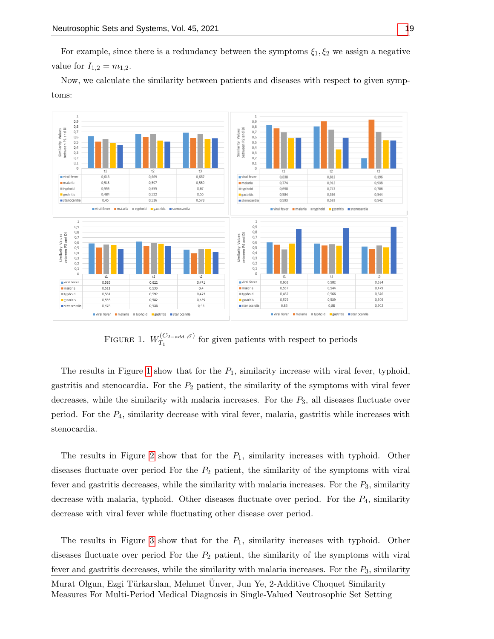For example, since there is a redundancy between the symptoms  $\xi_1, \xi_2$  we assign a negative value for  $I_{1,2} = m_{1,2}$ .

Now, we calculate the similarity between patients and diseases with respect to given symptoms:

<span id="page-11-0"></span>

FIGURE 1.  $W_{T_1}^{(C_{2-add.},\sigma)}$  $T_1^{(C_2 = add.)}$  for given patients with respect to periods

The results in Figure [1](#page-11-0) show that for the  $P_1$ , similarity increase with viral fever, typhoid, gastritis and stenocardia. For the  $P_2$  patient, the similarity of the symptoms with viral fever decreases, while the similarity with malaria increases. For the  $P_3$ , all diseases fluctuate over period. For the  $P_4$ , similarity decrease with viral fever, malaria, gastritis while increases with stenocardia.

The results in Figure [2](#page-12-0) show that for the  $P_1$ , similarity increases with typhoid. Other diseases fluctuate over period For the  $P_2$  patient, the similarity of the symptoms with viral fever and gastritis decreases, while the similarity with malaria increases. For the  $P_3$ , similarity decrease with malaria, typhoid. Other diseases fluctuate over period. For the  $P_4$ , similarity decrease with viral fever while fluctuating other disease over period.

The results in Figure [3](#page-12-1) show that for the  $P_1$ , similarity increases with typhoid. Other diseases fluctuate over period For the  $P_2$  patient, the similarity of the symptoms with viral fever and gastritis decreases, while the similarity with malaria increases. For the  $P_3$ , similarity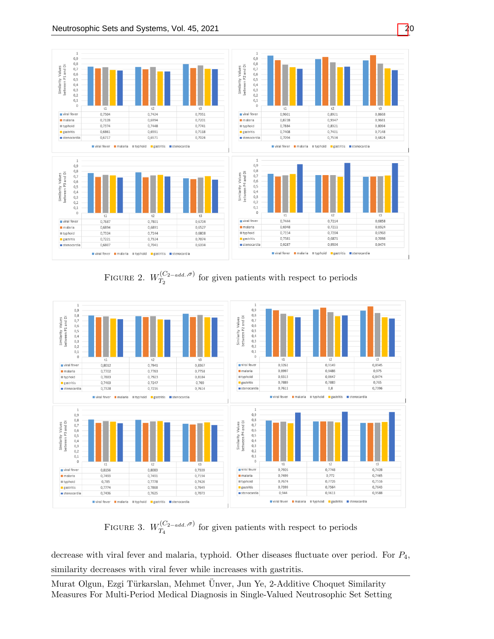<span id="page-12-0"></span>

FIGURE 2.  $W_{T_2}^{(C_{2-add.},\sigma)}$  $T_2^{(C_2 = add.)}$  for given patients with respect to periods

<span id="page-12-1"></span>

FIGURE 3.  $W_{T_A}^{(C_{2-add.},\sigma)}$  $T_4^{(C_2 = add.)}$  for given patients with respect to periods

decrease with viral fever and malaria, typhoid. Other diseases fluctuate over period. For  $P_4$ , similarity decreases with viral fever while increases with gastritis.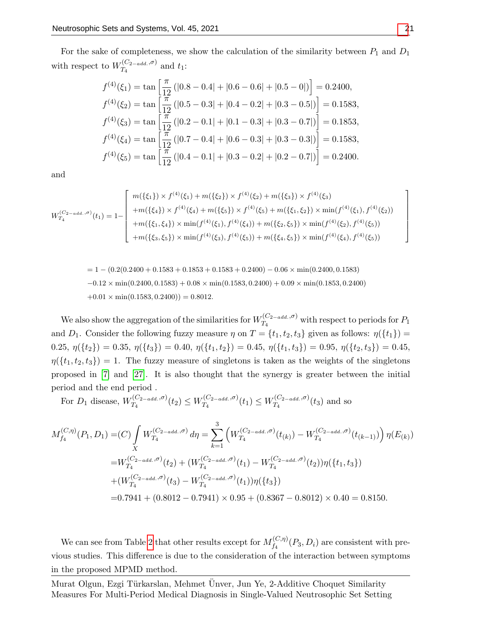For the sake of completeness, we show the calculation of the similarity between  $P_1$  and  $D_1$ with respect to  $W_{T_A}^{(C_{2-add.}, \sigma)}$  $T_4^{(C_2 - add. ,0)}$  and  $t_1$ :

$$
f^{(4)}(\xi_1) = \tan\left[\frac{\pi}{12} \left(|0.8 - 0.4| + |0.6 - 0.6| + |0.5 - 0|\right)\right] = 0.2400,
$$
  
\n
$$
f^{(4)}(\xi_2) = \tan\left[\frac{\pi}{12} \left(|0.5 - 0.3| + |0.4 - 0.2| + |0.3 - 0.5|\right)\right] = 0.1583,
$$
  
\n
$$
f^{(4)}(\xi_3) = \tan\left[\frac{\pi}{12} \left(|0.2 - 0.1| + |0.1 - 0.3| + |0.3 - 0.7|\right)\right] = 0.1853,
$$
  
\n
$$
f^{(4)}(\xi_4) = \tan\left[\frac{\pi}{12} \left(|0.7 - 0.4| + |0.6 - 0.3| + |0.3 - 0.3|\right)\right] = 0.1583,
$$
  
\n
$$
f^{(4)}(\xi_5) = \tan\left[\frac{\pi}{12} \left(|0.4 - 0.1| + |0.3 - 0.2| + |0.2 - 0.7|\right)\right] = 0.2400.
$$

and

$$
W_{T_4}^{(C_{2-add..},\sigma)}(t_1) = 1 - \begin{bmatrix} m(\{\xi_1\}) \times f^{(4)}(\xi_1) + m(\{\xi_2\}) \times f^{(4)}(\xi_2) + m(\{\xi_3\}) \times f^{(4)}(\xi_3) \\ + m(\{\xi_4\}) \times f^{(4)}(\xi_4) + m(\{\xi_5\}) \times f^{(4)}(\xi_5) + m(\{\xi_1, \xi_2\}) \times \min(f^{(4)}(\xi_1), f^{(4)}(\xi_2)) \\ + m(\{\xi_1, \xi_4\}) \times \min(f^{(4)}(\xi_1), f^{(4)}(\xi_4)) + m(\{\xi_2, \xi_5\}) \times \min(f^{(4)}(\xi_2), f^{(4)}(\xi_5)) \\ + m(\{\xi_3, \xi_5\}) \times \min(f^{(4)}(\xi_3), f^{(4)}(\xi_5)) + m(\{\xi_4, \xi_5\}) \times \min(f^{(4)}(\xi_4), f^{(4)}(\xi_5)) \end{bmatrix}
$$

$$
= 1 - (0.2(0.2400 + 0.1583 + 0.1853 + 0.1583 + 0.2400) - 0.06 \times \min(0.2400, 0.1583)
$$

$$
-0.12 \times \min(0.2400, 0.1583) + 0.08 \times \min(0.1583, 0.2400) + 0.09 \times \min(0.1853, 0.2400)
$$

$$
+0.01 \times \min(0.1583, 0.2400)) = 0.8012.
$$

We also show the aggregation of the similarities for  $W_{T_a}^{(C_{2-add.},\sigma)}$  $T_4^{(C_2-add.,\sigma)}$  with respect to periods for  $P_1$ and  $D_1$ . Consider the following fuzzy measure  $\eta$  on  $T = \{t_1, t_2, t_3\}$  given as follows:  $\eta(\lbrace t_1 \rbrace)$  = 0.25,  $\eta({t_2}) = 0.35$ ,  $\eta({t_3}) = 0.40$ ,  $\eta({t_1, t_2}) = 0.45$ ,  $\eta({t_1, t_3}) = 0.95$ ,  $\eta({t_2, t_3}) = 0.45$ ,  $\eta(\lbrace t_1, t_2, t_3 \rbrace) = 1$ . The fuzzy measure of singletons is taken as the weights of the singletons proposed in [\[7\]](#page-16-6) and [\[27\]](#page-17-9). It is also thought that the synergy is greater between the initial period and the end period .

For  $D_1$  disease,  $W_{T_A}^{(C_{2-add.}, \sigma)}$  $T^{(C_{2-add.},\sigma)}_{T_4}(t_2)\leq W^{(C_{2-add.},\sigma)}_{T_4}$  $T_4^{(C_{2-add.},\sigma)}(t_1) \leq W_{T_4}^{(C_{2-add.},\sigma)}$  $T_4^{(C_2 - add.99)}(t_3)$  and so

$$
M_{f_4}^{(C,\eta)}(P_1, D_1) = (C) \int_X W_{T_4}^{(C_{2-add.,\sigma})} d\eta = \sum_{k=1}^3 \left( W_{T_4}^{(C_{2-add.,\sigma})}(t_{(k)}) - W_{T_4}^{(C_{2-add.,\sigma})}(t_{(k-1)}) \right) \eta(E_{(k)})
$$
  
\n
$$
= W_{T_4}^{(C_{2-add.,\sigma})}(t_2) + (W_{T_4}^{(C_{2-add.,\sigma})}(t_1) - W_{T_4}^{(C_{2-add.,\sigma})}(t_2)) \eta(\{t_1, t_3\})
$$
  
\n
$$
+ (W_{T_4}^{(C_{2-add.,\sigma})}(t_3) - W_{T_4}^{(C_{2-add.,\sigma})}(t_1)) \eta(\{t_3\})
$$
  
\n=0.7941 + (0.8012 - 0.7941) × 0.95 + (0.8367 - 0.8012) × 0.40 = 0.8150.

We can see from Table [2](#page-14-0) that other results except for  $M_{f_A}^{(C,\eta)}$  $f_4^{(C,\eta)}(P_3, D_i)$  are consistent with previous studies. This difference is due to the consideration of the interaction between symptoms in the proposed MPMD method.

Murat Olgun, Ezgi Türkarslan, Mehmet Ünver, Jun Ye, 2-Additive Choquet Similarity Measures For Multi-Period Medical Diagnosis in Single-Valued Neutrosophic Set Setting 1  $\overline{1}$  $\mathbf{I}$  $\overline{1}$  $\overline{1}$  $\mathbf{I}$  $\overline{1}$  $\overline{1}$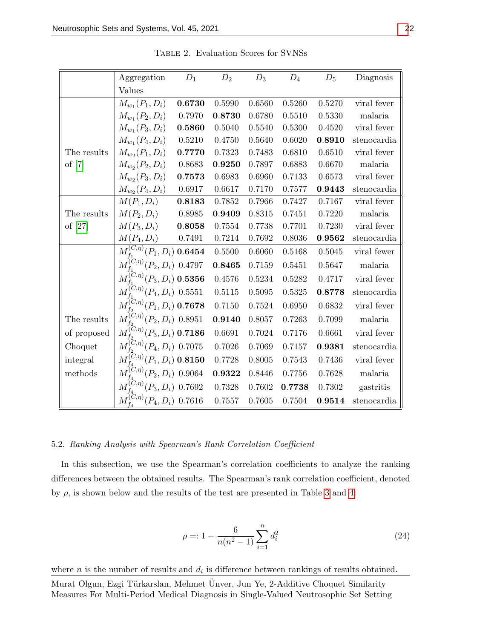<span id="page-14-0"></span>

|             | Aggregation                                       | $D_1$  | $D_2$  | $D_3$  | $D_4$  | $D_5$  | Diagnosis   |
|-------------|---------------------------------------------------|--------|--------|--------|--------|--------|-------------|
|             | Values                                            |        |        |        |        |        |             |
|             | $M_{w_1}(P_1, D_i)$                               | 0.6730 | 0.5990 | 0.6560 | 0.5260 | 0.5270 | viral fever |
|             | $M_{w_1}(P_2, D_i)$                               | 0.7970 | 0.8730 | 0.6780 | 0.5510 | 0.5330 | malaria     |
|             | $M_{w_1}(P_3, D_i)$                               | 0.5860 | 0.5040 | 0.5540 | 0.5300 | 0.4520 | viral fever |
|             | $M_{w_1}(P_4, D_i)$                               | 0.5210 | 0.4750 | 0.5640 | 0.6020 | 0.8910 | stenocardia |
| The results | $M_{w_2}(P_1, D_i)$                               | 0.7770 | 0.7323 | 0.7483 | 0.6810 | 0.6510 | viral fever |
| of $[7]$    | $M_{w_2}(P_2, D_i)$                               | 0.8683 | 0.9250 | 0.7897 | 0.6883 | 0.6670 | malaria     |
|             | $M_{w_2}(P_3, D_i)$                               | 0.7573 | 0.6983 | 0.6960 | 0.7133 | 0.6573 | viral fever |
|             | $M_{w_2}(P_4, D_i)$                               | 0.6917 | 0.6617 | 0.7170 | 0.7577 | 0.9443 | stenocardia |
|             | $M(P_1, D_i)$                                     | 0.8183 | 0.7852 | 0.7966 | 0.7427 | 0.7167 | viral fever |
| The results | $M(P_2, D_i)$                                     | 0.8985 | 0.9409 | 0.8315 | 0.7451 | 0.7220 | malaria     |
| of $[27]$   | $M(P_3, D_i)$                                     | 0.8058 | 0.7554 | 0.7738 | 0.7701 | 0.7230 | viral fever |
|             | $M(P_4, D_i)$                                     | 0.7491 | 0.7214 | 0.7692 | 0.8036 | 0.9562 | stenocardia |
|             | $M_{f_i}^{(C,\eta)}(P_1,D_i)$ 0.6454              |        | 0.5500 | 0.6060 | 0.5168 | 0.5045 | viral fewer |
|             | $M_{f_1}^{(C,\eta)}(P_2, D_i)$ 0.4797             |        | 0.8465 | 0.7159 | 0.5451 | 0.5647 | malaria     |
|             | $M_{f_1}^{(C,\eta)}(P_3, D_i)$ 0.5356             |        | 0.4576 | 0.5234 | 0.5282 | 0.4717 | viral fever |
|             | $M_{f_i}^{(C,\eta)}(P_4, D_i)$ 0.5551             |        | 0.5115 | 0.5095 | 0.5325 | 0.8778 | stenocardia |
|             | $M_{f_2}^{(C,\eta)}(P_1,D_i)$ 0.7678              |        | 0.7150 | 0.7524 | 0.6950 | 0.6832 | viral fever |
| The results | $M_{f_2}^{(\overline{C}, \eta)}(P_2, D_i)$ 0.8951 |        | 0.9140 | 0.8057 | 0.7263 | 0.7099 | malaria     |
| of proposed | $M_{f_2}^{(C,\eta)}(P_3, D_i)$ 0.7186             |        | 0.6691 | 0.7024 | 0.7176 | 0.6661 | viral fever |
| Choquet     | $\tilde{M}_{t_2}^{(C,\eta)}(P_4, D_i)$ 0.7075     |        | 0.7026 | 0.7069 | 0.7157 | 0.9381 | stenocardia |
| integral    | $M^{(C,\eta)}_{t} (P_1,D_i)$ 0.8150               |        | 0.7728 | 0.8005 | 0.7543 | 0.7436 | viral fever |
| methods     | $M_{\star}^{(C,\eta)}(P_2,D_i)$ 0.9064            |        | 0.9322 | 0.8446 | 0.7756 | 0.7628 | malaria     |
|             | $M_{\star}^{(C,\eta)}(P_3,D_i)$ 0.7692            |        | 0.7328 | 0.7602 | 0.7738 | 0.7302 | gastritis   |
|             | $M_{\epsilon}^{(C,\eta)}(P_4,D_i)$ 0.7616         |        | 0.7557 | 0.7605 | 0.7504 | 0.9514 | stenocardia |

Table 2. Evaluation Scores for SVNSs

## 5.2. Ranking Analysis with Spearman's Rank Correlation Coefficient

In this subsection, we use the Spearman's correlation coefficients to analyze the ranking differences between the obtained results. The Spearman's rank correlation coefficient, denoted by  $\rho$ , is shown below and the results of the test are presented in Table [3](#page-15-1) and [4:](#page-15-2)

$$
\rho =: 1 - \frac{6}{n(n^2 - 1)} \sum_{i=1}^{n} d_i^2 \tag{24}
$$

where  $n$  is the number of results and  $d_i$  is difference between rankings of results obtained.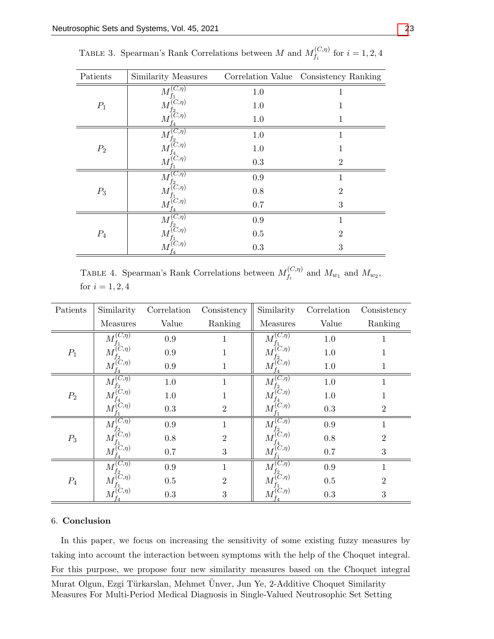| Patients | Similarity Measures                                                            |         | Correlation Value Consistency Ranking |
|----------|--------------------------------------------------------------------------------|---------|---------------------------------------|
| $P_1$    | $(C,\eta)$<br>$M_{f_1}^{\prime\prime}$                                         | 1.0     | 1                                     |
|          | $(C,\eta)$<br>$\overline{M}$                                                   | 1.0     | 1                                     |
|          | $\stackrel{f_2}{M^{(C,\eta)}_{\underline{f_4}}}$                               | 1.0     | 1                                     |
| $P_2$    | $M_{\epsilon}^{(\overline{C,\eta})}$                                           | $1.0\,$ | 1                                     |
|          | $\boldsymbol{M}_{\boldsymbol{r}}^{(\boldsymbol{\tilde{C}},\boldsymbol{\eta})}$ | 1.0     | 1                                     |
|          | $\tilde{M}_{f_1}^{(C,\eta)}$                                                   | 0.3     | $\overline{2}$                        |
| $P_3$    | $M_{\epsilon}^{(\overline{C,\eta})}$                                           | $0.9\,$ | 1                                     |
|          | $\stackrel{f2}{(C,\eta)}$<br>М                                                 | 0.8     | $\overline{2}$                        |
|          | $\boldsymbol{M}_{\mathbf{r}}^{(C,\eta)}$                                       | 0.7     | 3                                     |
| $P_4$    | $(C,\eta)$<br>$M_{f_2\atop (C,\eta)}^{\textstyle\cdot}$                        | 0.9     | 1                                     |
|          |                                                                                | 0.5     | $\overline{2}$                        |
|          | $M_{f_4}^{f_1^-(C,\eta)}$                                                      | 0.3     | 3                                     |

<span id="page-15-1"></span>TABLE 3. Spearman's Rank Correlations between M and  $M_t^{(C,\eta)}$  $f_i^{(C,\eta)}$  for  $i = 1, 2, 4$ 

<span id="page-15-2"></span>TABLE 4. Spearman's Rank Correlations between  $M_f^{(C,\eta)}$  $\int_{f_i}^{(C,\eta)}$  and  $M_{w_1}$  and  $M_{w_2}$ , for  $i = 1, 2, 4$ 

| Patients | Similarity                              | Correlation | Consistency    | Similarity                                                             | Correlation | Consistency    |
|----------|-----------------------------------------|-------------|----------------|------------------------------------------------------------------------|-------------|----------------|
|          | Measures                                | Value       | Ranking        | Measures                                                               | Value       | Ranking        |
| $P_1$    | $(\overline{C},\eta)$<br>$\overline{M}$ | $0.9\,$     | 1.             | $(C,\eta)$<br>$\overline{M}$                                           | $1.0\,$     |                |
|          | $C_{,eta}$<br>М                         | 0.9         |                | $(C,\eta)$<br>M                                                        | 1.0         |                |
|          | $(C,\eta)$<br>$M_{\rm r}^{\rm C}$       | 0.9         | 1              | $\stackrel{f_2}{(C,\eta)}$<br>M                                        | 1.0         | 1              |
| $P_2$    | $(\overline{C,\eta})$<br>$\overline{M}$ | $1.0\,$     | 1              | $(C,\eta)$<br>М                                                        | $1.0\,$     | 1              |
|          | $C_{,eta}$<br>М                         | 1.0         |                | $\mathop{f_2}_{(C,\eta)}$<br>$\overline{M}$                            | $1.0\,$     |                |
|          | $(C,\eta)$<br>$M_{\rm f}^{\rm C}$       | 0.3         | $\overline{2}$ | $\overset{4}{(C,\eta)}$<br>$\overline{M}$                              | 0.3         | $\overline{2}$ |
| $P_3$    | $(\overline{C,\eta})$<br>$\overline{M}$ | $0.9\,$     | 1              | $(C,\eta)$<br>$\overline{M}$                                           | 0.9         | 1              |
|          | $C_{\mathcal{D}}(\eta)$<br>М            | 0.8         | $\overline{2}$ | $\displaystyle\mathop{f_2}_{(C,\eta)}$<br>M                            | 0.8         | $\overline{2}$ |
|          | $(C,\eta)$<br>$M_r^{\prime}$            | 0.7         | 3              | $\H(C,\eta)$<br>$\overline{M}$                                         | 0.7         | 3              |
| $P_4$    | $M_{\epsilon}^{ \overline{(C,\eta)} }$  | 0.9         | 1              | $(C,\eta)$<br>$\overline{M}$                                           | 0.9         | 1              |
|          | $C,\eta$ )<br>M'                        | $0.5\,$     | $\overline{2}$ | $\stackrel{f_2}{\phantom{+}}_{\phantom{+}}^{\phantom{+}} C,\eta)$<br>M | 0.5         | $\overline{2}$ |
|          | $(C,\eta)$<br>$M_{\rm F}^{\rm C}$       | 0.3         | 3              | $M_{f_4}^{(C,\eta)}$                                                   | 0.3         | 3              |

### <span id="page-15-0"></span>6. Conclusion

In this paper, we focus on increasing the sensitivity of some existing fuzzy measures by taking into account the interaction between symptoms with the help of the Choquet integral. For this purpose, we propose four new similarity measures based on the Choquet integral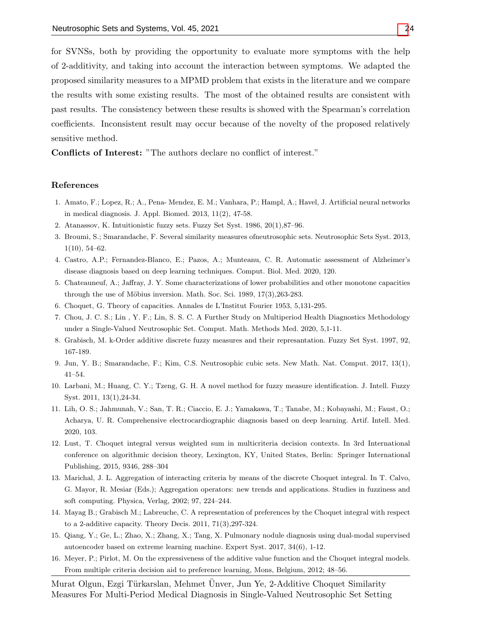for SVNSs, both by providing the opportunity to evaluate more symptoms with the help of 2-additivity, and taking into account the interaction between symptoms. We adapted the proposed similarity measures to a MPMD problem that exists in the literature and we compare the results with some existing results. The most of the obtained results are consistent with past results. The consistency between these results is showed with the Spearman's correlation coefficients. Inconsistent result may occur because of the novelty of the proposed relatively sensitive method.

Conflicts of Interest: "The authors declare no conflict of interest."

#### References

- <span id="page-16-1"></span>1. Amato, F.; Lopez, R.; A., Pena- Mendez, E. M.; Vanhara, P.; Hampl, A.; Havel, J. Artificial neural networks in medical diagnosis. J. Appl. Biomed. 2013, 11(2), 47-58.
- 2. Atanassov, K. Intuitionistic fuzzy sets. Fuzzy Set Syst. 1986, 20(1),87–96.
- <span id="page-16-5"></span>3. Broumi, S.; Smarandache, F. Several similarity measures ofneutrosophic sets. Neutrosophic Sets Syst. 2013, 1(10), 54–62.
- <span id="page-16-2"></span>4. Castro, A.P.; Fernandez-Blanco, E.; Pazos, A.; Munteanu, C. R. Automatic assessment of Alzheimer's disease diagnosis based on deep learning techniques. Comput. Biol. Med. 2020, 120.
- <span id="page-16-12"></span>5. Chateauneuf, A.; Jaffray, J. Y. Some characterizations of lower probabilities and other monotone capacities through the use of Möbius inversion. Math. Soc. Sci.  $1989, 17(3),263-283$ .
- <span id="page-16-7"></span>6. Choquet, G. Theory of capacities. Annales de L'Institut Fourier 1953, 5,131-295.
- <span id="page-16-6"></span>7. Chou, J. C. S.; Lin , Y. F.; Lin, S. S. C. A Further Study on Multiperiod Health Diagnostics Methodology under a Single-Valued Neutrosophic Set. Comput. Math. Methods Med. 2020, 5,1-11.
- <span id="page-16-11"></span>8. Grabisch, M. k-Order additive discrete fuzzy measures and their represantation. Fuzzy Set Syst. 1997, 92, 167-189.
- <span id="page-16-0"></span>9. Jun, Y. B.; Smarandache, F.; Kim, C.S. Neutrosophic cubic sets. New Math. Nat. Comput. 2017, 13(1), 41–54.
- <span id="page-16-10"></span>10. Larbani, M.; Huang, C. Y.; Tzeng, G. H. A novel method for fuzzy measure identification. J. Intell. Fuzzy Syst. 2011, 13(1),24-34.
- <span id="page-16-3"></span>11. Lih, O. S.; Jahmunah, V.; San, T. R.; Ciaccio, E. J.; Yamakawa, T.; Tanabe, M.; Kobayashi, M.; Faust, O.; Acharya, U. R. Comprehensive electrocardiographic diagnosis based on deep learning. Artif. Intell. Med. 2020, 103.
- <span id="page-16-9"></span>12. Lust, T. Choquet integral versus weighted sum in multicriteria decision contexts. In 3rd International conference on algorithmic decision theory, Lexington, KY, United States, Berlin: Springer International Publishing, 2015, 9346, 288–304
- <span id="page-16-13"></span>13. Marichal, J. L. Aggregation of interacting criteria by means of the discrete Choquet integral. In T. Calvo, G. Mayor, R. Mesiar (Eds.); Aggregation operators: new trends and applications. Studies in fuzziness and soft computing. Physica, Verlag, 2002; 97, 224–244.
- <span id="page-16-14"></span>14. Mayag B.; Grabisch M.; Labreuche, C. A representation of preferences by the Choquet integral with respect to a 2-additive capacity. Theory Decis. 2011, 71(3),297-324.
- <span id="page-16-4"></span>15. Qiang, Y.; Ge, L.; Zhao, X.; Zhang, X.; Tang, X. Pulmonary nodule diagnosis using dual-modal supervised autoencoder based on extreme learning machine. Expert Syst. 2017, 34(6), 1-12.
- <span id="page-16-8"></span>16. Meyer, P.; Pirlot, M. On the expressiveness of the additive value function and the Choquet integral models. From multiple criteria decision aid to preference learning, Mons, Belgium, 2012; 48–56.